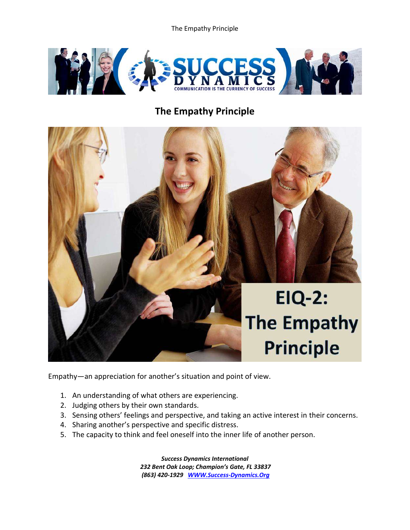The Empathy Principle



## **The Empathy Principle**



Empathy—an appreciation for another's situation and point of view.

- 1. An understanding of what others are experiencing.
- 2. Judging others by their own standards.
- 3. Sensing others' feelings and perspective, and taking an active interest in their concerns.
- 4. Sharing another's perspective and specific distress.
- 5. The capacity to think and feel oneself into the inner life of another person.

*Success Dynamics International 232 Bent Oak Loop; Champion's Gate, FL 33837 (863) 420-1929 [WWW.Success-Dynamics.Org](http://www.success-dynamics.org/)*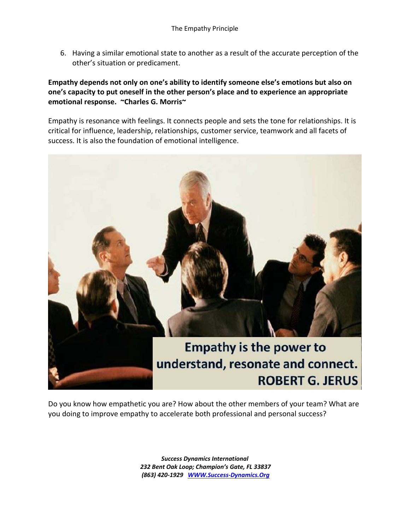6. Having a similar emotional state to another as a result of the accurate perception of the other's situation or predicament.

## **Empathy depends not only on one's ability to identify someone else's emotions but also on one's capacity to put oneself in the other person's place and to experience an appropriate emotional response. ~Charles G. Morris~**

Empathy is resonance with feelings. It connects people and sets the tone for relationships. It is critical for influence, leadership, relationships, customer service, teamwork and all facets of success. It is also the foundation of emotional intelligence.



Do you know how empathetic you are? How about the other members of your team? What are you doing to improve empathy to accelerate both professional and personal success?

> *Success Dynamics International 232 Bent Oak Loop; Champion's Gate, FL 33837 (863) 420-1929 [WWW.Success-Dynamics.Org](http://www.success-dynamics.org/)*